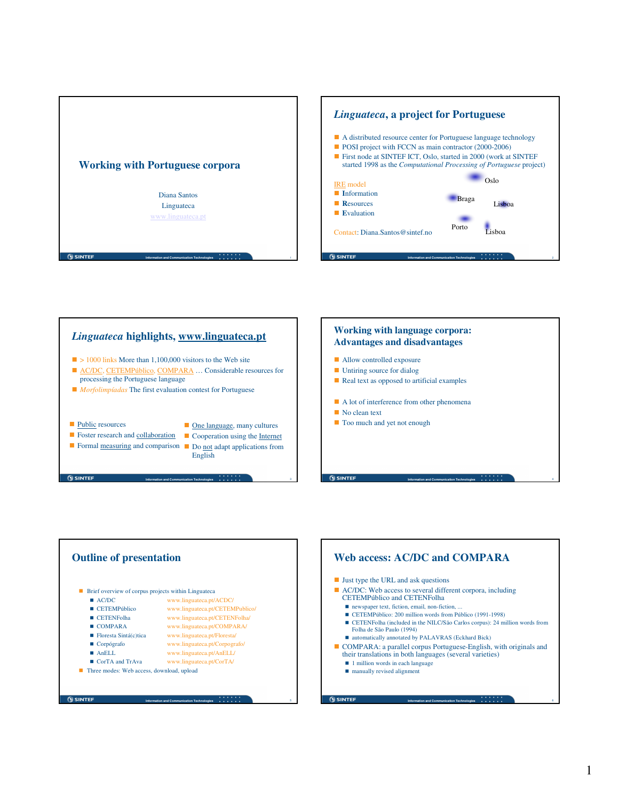







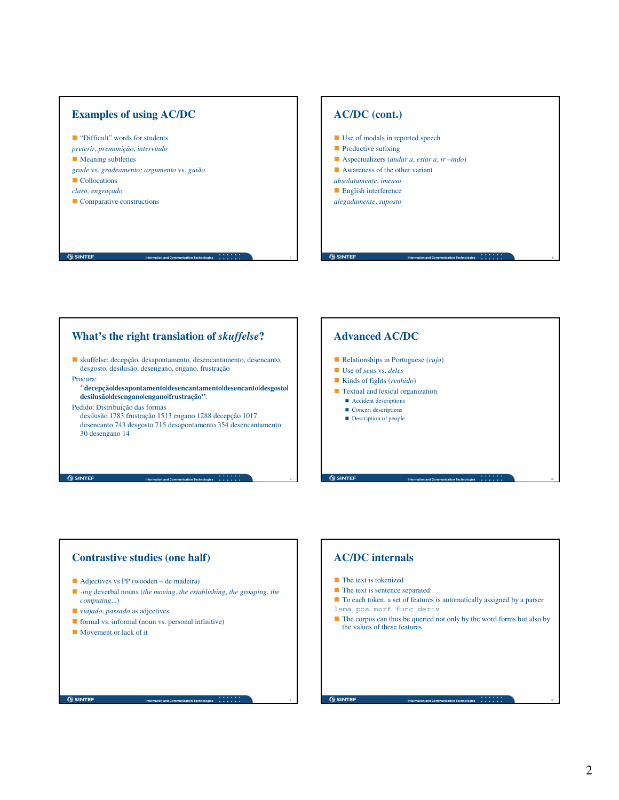# **Examples of using AC/DC** ■ "Difficult" words for students *preterir*, *premonição*, *intervindo* **Meaning subtleties** *grade* vs. *gradeamento; argumento* vs. *guião* **Collocations** *claro, engraçado* Comparative constructions

#### **AC/DC (cont.)**

- Use of modals in reported speech
- **Productive sufixing**
- Aspectualizers (*andar a*, *estar a*, *ir –indo*)

**Information and Communication Technologies** 8

**Information and Communication Technologies** 10

**Information and Communication Technologies** 12

- Awareness of the other variant
- *absolutamente*, *imenso*
- **English interference** *alegadamente*, *suposto*

**OSINTER** 

## **What's the right translation of** *skuffelse***?**

 skuffelse: decepção, desapontamento, desencantamento, desencanto, desgosto, desilusão, desengano, engano, frustração

**Information and Communication Technologies** 7

**Information and Communication Technologies** 9

**Information and Communication Technologies** 11

Procura:

**SINTER** 

**OSINTER** 

**"decepção|desapontamento|desencantamento|desencanto|desgosto| desilusão|desengano|engano|frustração"**.

Pedido: Distribuição das formas

desilusão 1783 frustração 1513 engano 1288 decepção 1017 desencanto 743 desgosto 715 desapontamento 354 desencantamento 30 desengano 14

#### **Advanced AC/DC**

- Relationships in Portuguese (*cujo*)
- Use of *seus* vs. *deles*
- Kinds of fights (*renhido*)
- **Textual and lexical organization** 
	- Accident descriptions  $\blacksquare$  <br> Concert descriptions
	- Description of people

 $\overline{w}$  sint

**SINTER** 

### **AC/DC internals** The text is tokenized

- $\blacksquare$  The text is sentence separated
- To each token, a set of features is automatically assigned by a parser
- lema pos morf func deriv
- $\blacksquare$  The corpus can thus be queried not only by the word forms but also by the values of these features

### **Contrastive studies (one half)**

- Adjectives vs PP (wooden de madeira)
- *-ing* deverbal nouns (*the moving*, *the establishing*, *the grouping*, *the computing*...)
- *viajado*, *passado* as adjectives
- $\blacksquare$  formal vs. informal (noun vs. personal infinitive)
- Movement or lack of it

**SINTEF**